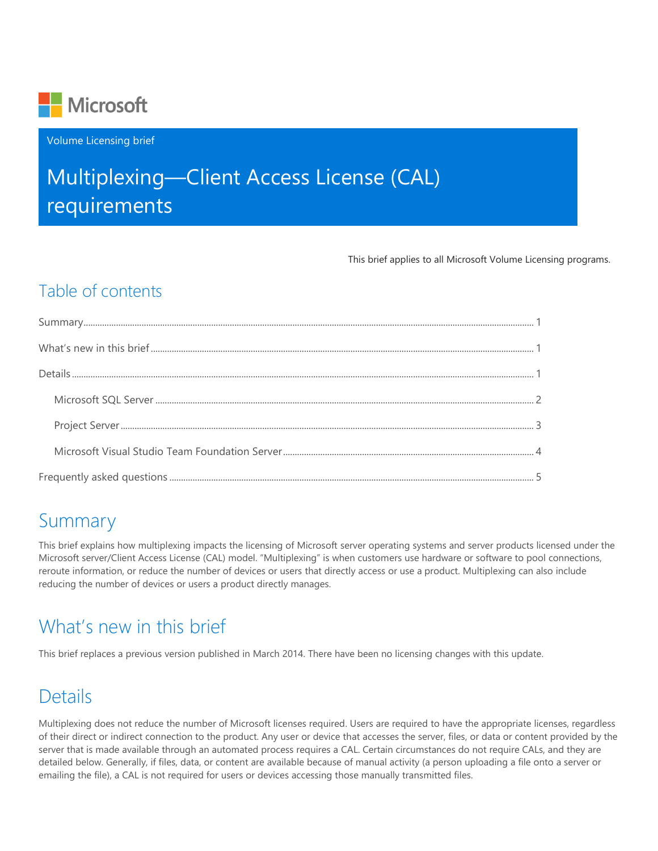

Volume Licensing brief

# Multiplexing—Client Access License (CAL) requirements

This brief applies to all Microsoft Volume Licensing programs.

### Table of contents

## <span id="page-0-0"></span>Summary

This brief explains how multiplexing impacts the licensing of Microsoft server operating systems and server products licensed under the Microsoft server/Client Access License (CAL) model. "Multiplexing" is when customers use hardware or software to pool connections, reroute information, or reduce the number of devices or users that directly access or use a product. Multiplexing can also include reducing the number of devices or users a product directly manages.

## <span id="page-0-1"></span>What's new in this brief

<span id="page-0-2"></span>This brief replaces a previous version published in March 2014. There have been no licensing changes with this update.

## Details

Multiplexing does not reduce the number of Microsoft licenses required. Users are required to have the appropriate licenses, regardless of their direct or indirect connection to the product. Any user or device that accesses the server, files, or data or content provided by the server that is made available through an automated process requires a CAL. Certain circumstances do not require CALs, and they are detailed below. Generally, if files, data, or content are available because of manual activity (a person uploading a file onto a server or emailing the file), a CAL is not required for users or devices accessing those manually transmitted files.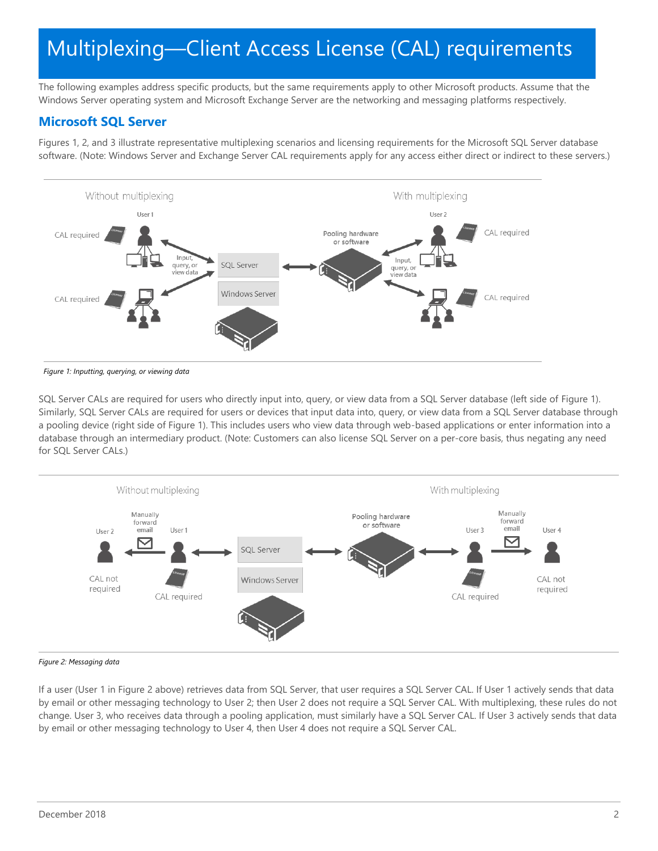The following examples address specific products, but the same requirements apply to other Microsoft products. Assume that the Windows Server operating system and Microsoft Exchange Server are the networking and messaging platforms respectively.

### <span id="page-1-0"></span>**Microsoft SQL Server**

Figures 1, 2, and 3 illustrate representative multiplexing scenarios and licensing requirements for the Microsoft SQL Server database software. (Note: Windows Server and Exchange Server CAL requirements apply for any access either direct or indirect to these servers.)



*Figure 1: Inputting, querying, or viewing data*

SQL Server CALs are required for users who directly input into, query, or view data from a SQL Server database (left side of Figure 1). Similarly, SQL Server CALs are required for users or devices that input data into, query, or view data from a SQL Server database through a pooling device (right side of Figure 1). This includes users who view data through web-based applications or enter information into a database through an intermediary product. (Note: Customers can also license SQL Server on a per-core basis, thus negating any need for SQL Server CALs.)



#### *Figure 2: Messaging data*

If a user (User 1 in Figure 2 above) retrieves data from SQL Server, that user requires a SQL Server CAL. If User 1 actively sends that data by email or other messaging technology to User 2; then User 2 does not require a SQL Server CAL. With multiplexing, these rules do not change. User 3, who receives data through a pooling application, must similarly have a SQL Server CAL. If User 3 actively sends that data by email or other messaging technology to User 4, then User 4 does not require a SQL Server CAL.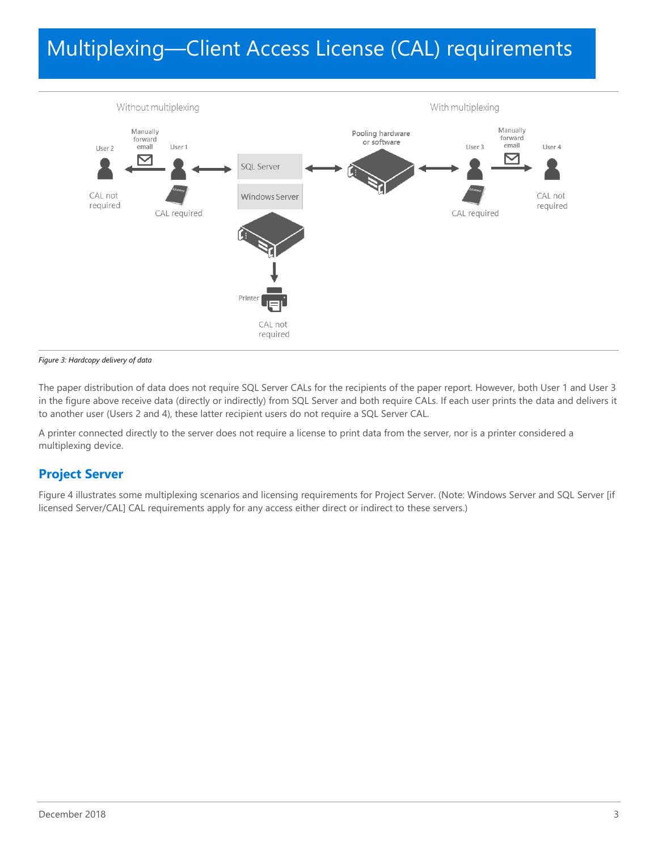

*Figure 3: Hardcopy delivery of data*

The paper distribution of data does not require SQL Server CALs for the recipients of the paper report. However, both User 1 and User 3 in the figure above receive data (directly or indirectly) from SQL Server and both require CALs. If each user prints the data and delivers it to another user (Users 2 and 4), these latter recipient users do not require a SQL Server CAL.

A printer connected directly to the server does not require a license to print data from the server, nor is a printer considered a multiplexing device.

### <span id="page-2-0"></span>**Project Server**

Figure 4 illustrates some multiplexing scenarios and licensing requirements for Project Server. (Note: Windows Server and SQL Server [if licensed Server/CAL] CAL requirements apply for any access either direct or indirect to these servers.)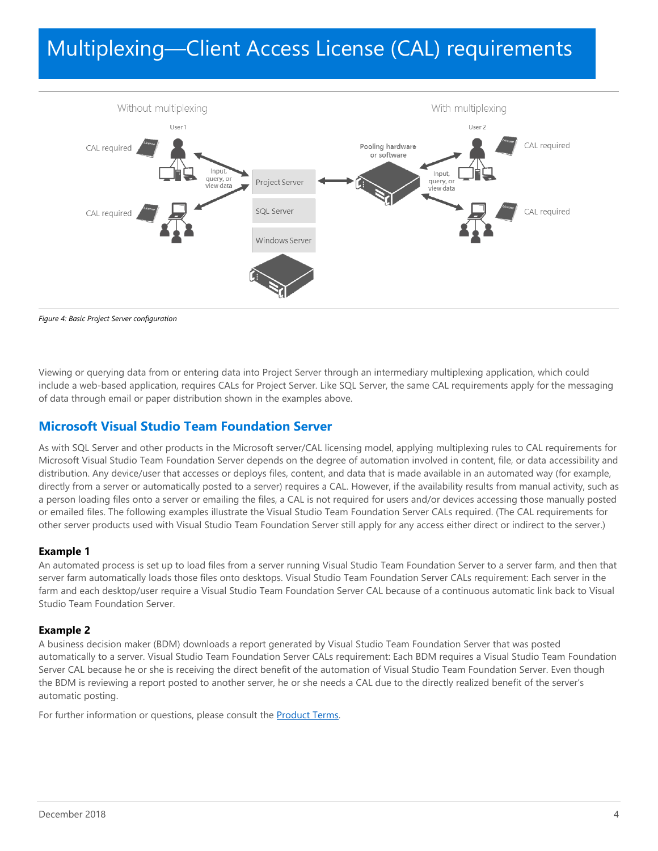

*Figure 4: Basic Project Server configuration*

Viewing or querying data from or entering data into Project Server through an intermediary multiplexing application, which could include a web-based application, requires CALs for Project Server. Like SQL Server, the same CAL requirements apply for the messaging of data through email or paper distribution shown in the examples above.

### <span id="page-3-0"></span>**Microsoft Visual Studio Team Foundation Server**

As with SQL Server and other products in the Microsoft server/CAL licensing model, applying multiplexing rules to CAL requirements for Microsoft Visual Studio Team Foundation Server depends on the degree of automation involved in content, file, or data accessibility and distribution. Any device/user that accesses or deploys files, content, and data that is made available in an automated way (for example, directly from a server or automatically posted to a server) requires a CAL. However, if the availability results from manual activity, such as a person loading files onto a server or emailing the files, a CAL is not required for users and/or devices accessing those manually posted or emailed files. The following examples illustrate the Visual Studio Team Foundation Server CALs required. (The CAL requirements for other server products used with Visual Studio Team Foundation Server still apply for any access either direct or indirect to the server.)

#### **Example 1**

An automated process is set up to load files from a server running Visual Studio Team Foundation Server to a server farm, and then that server farm automatically loads those files onto desktops. Visual Studio Team Foundation Server CALs requirement: Each server in the farm and each desktop/user require a Visual Studio Team Foundation Server CAL because of a continuous automatic link back to Visual Studio Team Foundation Server.

#### **Example 2**

A business decision maker (BDM) downloads a report generated by Visual Studio Team Foundation Server that was posted automatically to a server. Visual Studio Team Foundation Server CALs requirement: Each BDM requires a Visual Studio Team Foundation Server CAL because he or she is receiving the direct benefit of the automation of Visual Studio Team Foundation Server. Even though the BDM is reviewing a report posted to another server, he or she needs a CAL due to the directly realized benefit of the server's automatic posting.

For further information or questions, please consult the **Product Terms**.